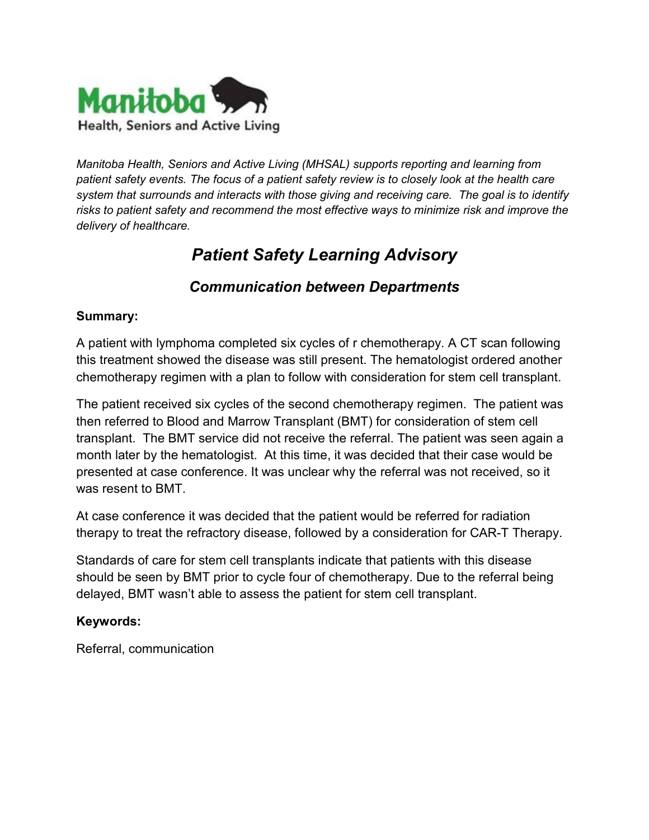

*Manitoba Health, Seniors and Active Living (MHSAL) supports reporting and learning from patient safety events. The focus of a patient safety review is to closely look at the health care system that surrounds and interacts with those giving and receiving care. The goal is to identify risks to patient safety and recommend the most effective ways to minimize risk and improve the delivery of healthcare.* 

# *Patient Safety Learning Advisory*

# *Communication between Departments*

#### **Summary:**

A patient with lymphoma completed six cycles of r chemotherapy. A CT scan following this treatment showed the disease was still present. The hematologist ordered another chemotherapy regimen with a plan to follow with consideration for stem cell transplant.

The patient received six cycles of the second chemotherapy regimen. The patient was then referred to Blood and Marrow Transplant (BMT) for consideration of stem cell transplant. The BMT service did not receive the referral. The patient was seen again a month later by the hematologist. At this time, it was decided that their case would be presented at case conference. It was unclear why the referral was not received, so it was resent to BMT.

At case conference it was decided that the patient would be referred for radiation therapy to treat the refractory disease, followed by a consideration for CAR-T Therapy.

Standards of care for stem cell transplants indicate that patients with this disease should be seen by BMT prior to cycle four of chemotherapy. Due to the referral being delayed, BMT wasn't able to assess the patient for stem cell transplant.

#### **Keywords:**

Referral, communication